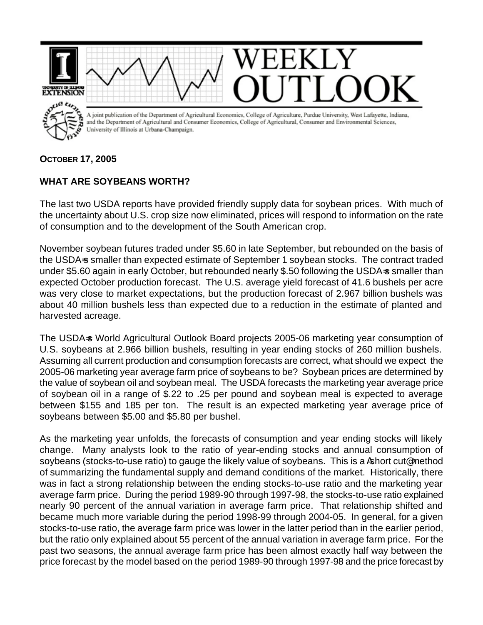

**OCTOBER 17, 2005**

## **WHAT ARE SOYBEANS WORTH?**

The last two USDA reports have provided friendly supply data for soybean prices. With much of the uncertainty about U.S. crop size now eliminated, prices will respond to information on the rate of consumption and to the development of the South American crop.

November soybean futures traded under \$5.60 in late September, but rebounded on the basis of the USDA-s smaller than expected estimate of September 1 soybean stocks. The contract traded under \$5.60 again in early October, but rebounded nearly \$.50 following the USDA=s smaller than expected October production forecast. The U.S. average yield forecast of 41.6 bushels per acre was very close to market expectations, but the production forecast of 2.967 billion bushels was about 40 million bushels less than expected due to a reduction in the estimate of planted and harvested acreage.

The USDA-s World Agricultural Outlook Board projects 2005-06 marketing year consumption of U.S. soybeans at 2.966 billion bushels, resulting in year ending stocks of 260 million bushels. Assuming all current production and consumption forecasts are correct, what should we expect the 2005-06 marketing year average farm price of soybeans to be? Soybean prices are determined by the value of soybean oil and soybean meal. The USDA forecasts the marketing year average price of soybean oil in a range of \$.22 to .25 per pound and soybean meal is expected to average between \$155 and 185 per ton. The result is an expected marketing year average price of soybeans between \$5.00 and \$5.80 per bushel.

As the marketing year unfolds, the forecasts of consumption and year ending stocks will likely change. Many analysts look to the ratio of year-ending stocks and annual consumption of soybeans (stocks-to-use ratio) to gauge the likely value of soybeans. This is a Ashort cut@ method of summarizing the fundamental supply and demand conditions of the market. Historically, there was in fact a strong relationship between the ending stocks-to-use ratio and the marketing year average farm price. During the period 1989-90 through 1997-98, the stocks-to-use ratio explained nearly 90 percent of the annual variation in average farm price. That relationship shifted and became much more variable during the period 1998-99 through 2004-05. In general, for a given stocks-to-use ratio, the average farm price was lower in the latter period than in the earlier period, but the ratio only explained about 55 percent of the annual variation in average farm price. For the past two seasons, the annual average farm price has been almost exactly half way between the price forecast by the model based on the period 1989-90 through 1997-98 and the price forecast by